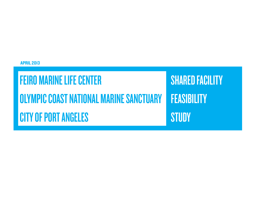April 2013

# Feiro Marine Life Center **OLYMPIC COAST NATIONAL MARINE SANCTUARY** CITY OF PORT ANGELES

**SHARED FACILITY FEASIBILITY STUDY**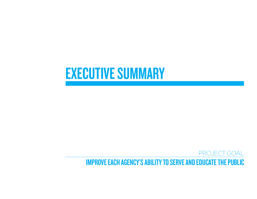# **EXECUTIVE SUMMARY**

## PROJECT GOAL Improve each agency's ability to serve and educate the public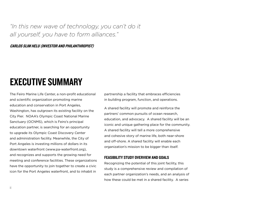*"In this new wave of technology, you can't do it all yourself, you have to form alliances."*

Carlos Slim Helu (investor and philanthropist)

# executive Summary

The Feiro Marine Life Center, a non-profit educational and scientific organization promoting marine education and conservation in Port Angeles, Washington, has outgrown its existing facility on the City Pier. NOAA's Olympic Coast National Marine Sanctuary (OCNMS), which is Feiro's principal education partner, is searching for an opportunity to upgrade its Olympic Coast Discovery Center and administration facility. Meanwhile, the City of Port Angeles is investing millions of dollars in its downtown waterfront (www.pa-waterfront.org), and recognizes and supports the growing need for meeting and conference facilities. These organizations have the opportunity to join together to create a civic icon for the Port Angeles waterfront, and to inhabit in

partnership a facility that embraces efficiencies in building program, function, and operations.

A shared facility will promote and reinforce the partners' common pursuits of ocean research, education, and advocacy. A shared facility will be an iconic and unique gathering place for the community. A shared facility will tell a more comprehensive and cohesive story of marine life, both near-shore and off-shore. A shared facility will enable each organization's mission to be bigger than itself.

#### Feasibility Study Overview and Goals

Recognizing the potential of this joint facility, this study is a comprehensive review and compilation of each partner organization's needs, and an analysis of how these could be met in a shared facility. A series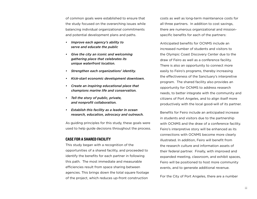of common goals were established to ensure that the study focused on the overarching issues while balancing individual organizational commitments and potential development plans and paths.

- *• Improve each agency's ability to serve and educate the public*
- *• Give the city an iconic and welcoming gathering place that celebrates its unique waterfront location.*
- *• Strengthen each organizations' identity.*
- *• Kick-start economic development downtown.*
- *• Create an inspiring educational place that champions marine life and conservation.*
- *• Tell the story of public, private, and nonprofit collaboration.*
- *• Establish this facility as a leader in ocean research, education, advocacy and outreach.*

As guiding principles for this study, these goals were used to help guide decisions throughout the process.

#### Case for a Shared Facility

This study began with a recognition of the opportunities of a shared facility, and proceeded to identify the benefits for each partner in following this path. The most immediate and measurable efficiencies result from space sharing between agencies. This brings down the total square footage of the project, which reduces up-front construction

costs as well as long-term maintenance costs for all three partners. In addition to cost savings, there are numerous organizational and missionspecific benefits for each of the partners:

Anticipated benefits for OCNMS include an increased number of students and visitors to the Olympic Coast Discovery Center due to the draw of Feiro as well as a conference facility. There is also an opportunity to connect more easily to Feiro's programs, thereby increasing the effectiveness of the Sanctuary's interpretive program. The shared facility also provides an opportunity for OCNMS to address research needs, to better integrate with the community and citizens of Port Angeles, and to align itself more productively with the local good-will of its partner.

Benefits for Feiro include an anticipated increase in students and visitors due to the partnership with OCNMS and the draw of a conference facility. Feiro's interpretive story will be enhanced as its connections with OCNMS become more clearly illustrated. In addition, Feiro will benefit from the research culture and information assets of their federal partner. Finally, with improved and expanded meeting, classroom, and exhibit spaces, Feiro will be positioned to host more community events, and to generate additional revenue.

For the City of Port Angeles, there are a number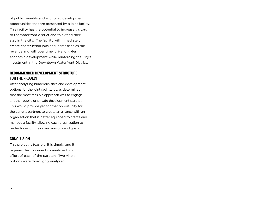of public benefits and economic development opportunities that are presented by a joint facility. This facility has the potential to increase visitors to the waterfront district and to extend their stay in the city. The facility will immediately create construction jobs and increase sales tax revenue and will, over time, drive long-term economic development while reinforcing the City's investment in the Downtown Waterfront District.

#### Recommended Development Structure for the Project

After analyzing numerous sites and development options for the joint facility, it was determined that the most feasible approach was to engage another public or private development partner. This would provide yet another opportunity for the current partners to create an alliance with an organization that is better equipped to create and manage a facility, allowing each organization to better focus on their own missions and goals.

#### Conclusion

This project is feasible, it is timely, and it requires the continued commitment and effort of each of the partners. Two viable options were thoroughly analyzed.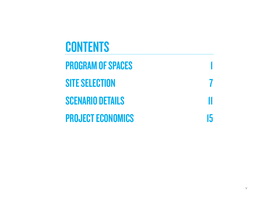| <b>CONTENTS</b>          |    |
|--------------------------|----|
| <b>PROGRAM OF SPACES</b> |    |
| <b>SITE SELECTION</b>    |    |
| <b>SCENARIO DETAILS</b>  |    |
| <b>PROJECT ECONOMICS</b> | Ih |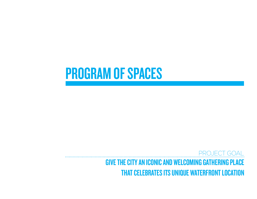# PROGRAM OF SPACES

PROJECT GOAL Give the city an iconic and welcoming gathering place that celebrates its unique waterfront location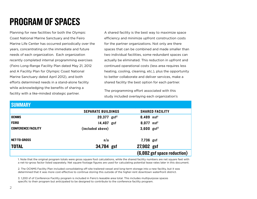# Program of Spaces

Planning for new facilities for both the Olympic Coast National Marine Sanctuary and the Feiro Marine Life Center has occurred periodically over the years, concentrating on the immediate and future needs of each organization. Each organization recently completed internal programming exercises (Feiro Long-Range Facility Plan dated May 21, 2012 and A Facility Plan for Olympic Coast National Marine Sanctuary dated April 2012), and both efforts determined needs in a stand-alone facility while acknowledging the benefits of sharing a facility with a like-minded strategic partner.

A shared facility is the best way to maximize space efficiency and minimize upfront construction costs for the partner organizations. Not only are there spaces that can be combined and made smaller than two individual facilities, some redundant spaces can actually be eliminated. This reduction in upfront and continued operational costs (less area requires less heating, cooling, cleaning, etc.), plus the opportunity to better collaborate and deliver services, make a shared facility the best option for each partner.

The programming effort associated with this study included overlaying each organization's

#### **CHIMMARY**

| UUMMARI                    |                           |                             |
|----------------------------|---------------------------|-----------------------------|
|                            | <b>SEPARATE BUILDINGS</b> | <b>SHARED FACILITY</b>      |
| <b>OCNMS</b>               | $20,377$ gsf <sup>2</sup> | $8,489$ nsf                 |
| <b>FEIRO</b>               | 14,407 gsf                | 8,077 nsf                   |
| <b>CONFERENCE FACILITY</b> | (included above)          | $3,600$ gsf <sup>3</sup>    |
| <b>NET-TO-GROSS</b>        | n/a                       | 7,736 gsf                   |
| <b>TOTAL</b>               | 34,784 gsf                | 27,902 gsf                  |
|                            |                           | (6,882 gsf space reduction) |

1. Note that the original program totals were gross square foot calculations, while the shared facility numbers are net square feet with a net-to-gross factor listed separately. Net square footage figures are used for calculating potential lease rates later in this document.

2. The OCNMS Facility Plan included consolidating off-site trailered-vessel and long-term storage into a new facility, but it was determined that it was more cost-effective to continue storing this outside of the higher-rent downtown waterfront district.

3. 1,200 sf of Conference Facility program is included in Feiro's leasable area total. This includes multipurpose spaces specific to their program but anticipated to be designed to contribute to the conference facility program.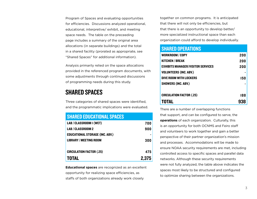Program of Spaces and evaluating opportunities for efficiencies. Discussions analyzed operational, educational, interpretive/ exhibit, and meeting space needs. The table on the preceeding page includes a summary of the original area allocations (in separate buildings) and the total in a shared facility (prorated as appropriate, see "Shared Spaces" for additional information).

Analysis primarily relied on the space allocations provided in the referenced program documents, with some adjustments through continued discussions of programming needs during this study.

### Shared Spaces

Three categories of shared spaces were identified, and the programmatic implications were evaluated.

#### SHARED educational SPACES

| LAB / CLASSROOM I (WET)                | 700   |
|----------------------------------------|-------|
| LAB / CLASSROOM 2                      | 900   |
| <b>EDUCATIONAL STORAGE (INC. ABV.)</b> |       |
| <b>LIBRARY / MEETING ROOM</b>          | 300   |
|                                        |       |
| <b>CIRCULATION FACTOR (.25)</b>        | 475   |
| <b>TOTAL</b>                           | 2,375 |

**Educational spaces** are recognized as an excellent opportunity for realizing space efficiencies, as staffs of both organizations already work closely

together on common programs. It is anticipated that there will not only be efficiencies, but that there is an opportunity to develop better/ more specialized instructional space than each organization could afford to develop individually.

#### shared operations

| <b>WORKROOM / COPY</b>                   | 200 |
|------------------------------------------|-----|
| <b>KITCHEN / BREAK</b>                   | 200 |
| <b>EXHIBITS MANAGER/VISITOR SERVICES</b> | 200 |
| <b>VOLUNTEERS (INC. ABV.)</b>            |     |
| DIVE ROOM WITH LOCKERS                   | 150 |
| <b>SHOWERS (INC. ABV.)</b>               |     |
| <b>CIRCULATION FACTOR (.25)</b>          | 188 |
| <b>TOTAL</b>                             |     |

There are a number of overlapping functions that support, and can be configured to serve, the **operations** of each organization. Culturally, this is an opportunity for both OCNMS and Feiro staff and volunteers to work together and gain a better perspective of their partner organization's mission and processes. Accommodations will be made to ensure NOAA security requirements are met, including controlled access to specific spaces and parallel data networks. Although these security requirements were not fully analyzed, the table above indicates the spaces most likely to be structured and configured to optimize sharing between the organizations.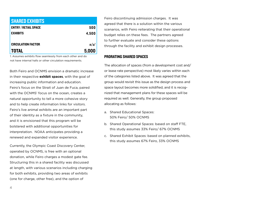| <b>SHARED EXHIBITS</b>      |                  |
|-----------------------------|------------------|
| <b>ENTRY / RETAIL SPACE</b> | 500              |
| <b>EXHIBITS</b>             | 4,500            |
|                             |                  |
| <b>CIRCULATION FACTOR</b>   | n/a <sup>1</sup> |
| <b>TOTAL</b>                | 5,000            |

1. Assumes exhibits flow seamlessly from each other and do not have internal halls or other circulation requirements.

Both Feiro and OCNMS envision a dramatic increase in their respective **exhibit spaces**, with the goal of increasing public information and education. Feiro's focus on the Strait of Juan de Fuca, paired with the OCNMS' focus on the ocean, creates a natural opportunity to tell a more cohesive story and to help create information links for visitors. Feiro's live animal exhibits are an important part of their identity as a fixture in the community, and it is envisioned that this program will be bolstered with additional opportunities for interpretation. NOAA anticipates providing a renewed and expanded visitor experience.

Currently, the Olympic Coast Discovery Center, operated by OCNMS, is free with an optional donation, while Feiro charges a modest gate fee. Structuring this in a shared facility was discussed at length, with various scenarios including charging for both exhibits, providing two areas of exhibits (one for charge, other free), and the option of

Feiro discontinuing admission charges. It was agreed that there is a solution within the various scenarios, with Feiro reiterating that their operational budget relies on these fees. The partners agreed to further evaluate and consider these options through the facility and exhibit design processes.

#### Prorating shared Spaces

The allocation of spaces (from a development cost and/ or lease rate perspective) most likely varies within each of the categories listed above. It was agreed that the group would revisit this issue as the design process and space layout becomes more solidified, and it is recognized that management plans for these spaces will be required as well. Generally, the group proposed allocating as follows:

- a. Shared Educational Spaces: 50% Feiro/ 50% OCNMS
- b. Shared Operational Spaces: based on staff FTE, this study assumes 33% Feiro/ 67% OCNMS
- c. Shared Exhibit Spaces: based on planned exhibits, this study assumes 67% Feiro, 33% OCNMS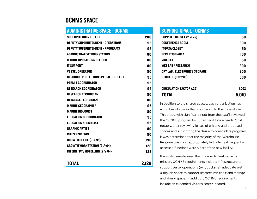### OCNMS Space

#### administrative space - ocnms Superintendent Office 200 Deputy Superintendent - Operations 95 Deputy Superintendent - Programs 95 ADMINISTRATIVE WORKSTATION 80 MARINE OPERATIONS OFFICER 80 IT SUPPORT 80 Vessel Operator 80 RESOURCE PROTECTION SPECIALIST OFFICE 95 PERMIT COORDINATOR **PERMIT COORDINATOR** 95 Research Coordinator 95 RESEARCH TECHNICIAN 80 DATABASE TECHNICIAN 80 MARINE GEOGRAPHER 95 MARINE BIOLOGIST 80 Education Coordinator 95 Education Specialist 95 GRAPHIC ARTIST 80 CITIZEN SCIENCE 80 GROWTH OFFICE  $(2 \otimes 95)$  190 GROWTH WORKSTATION  $(2 \otimes 64)$  128 INTERN / PT / HOTELLING  $(2 \otimes 64)$  128 TOTAL 2,126

#### support space - ocnms

| <b>SUPPLIES CLOSET (2 @ 75)</b> | 150   |
|---------------------------------|-------|
| <b>CONFERENCE ROOM</b>          | 200   |
| <b>IT/DATA CLOSET</b>           | 50    |
| <b>RECEPTION AREA</b>           | 100   |
| <b>VIDEO LAB</b>                | 150   |
| <b>WET LAB / RESEARCH</b>       | 300   |
| DRY LAB / ELECTRONICS STORAGE   | 300   |
| <b>STORAGE (3 @ 200)</b>        | 600   |
| <b>CIRCULATION FACTOR (.25)</b> | 1,002 |
| TOTAL                           | 5,010 |

In addition to the shared spaces, each organization has a number of spaces that are specific to their operations. This study, with significant input from their staff, reviewed the OCNMS program for current and future needs. Most notably, after reviewing leases of existing and proposed spaces and scrutinizing the desire to consolidate programs, it was determined that the majority of the Warehouse Program was most appropriately left off-site if frequently accessed functions were a part of the new facility.

It was also emphasized that in order to best serve its mission, OCNMS requirements include: infrastructure to support vessel operations (e.g., dockage); adequate wet & dry lab space to support research missions; and storage and library space. In addition, OCNMS requirements include an expanded visitor's center (shared).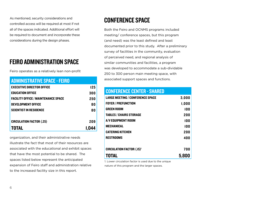As mentioned, security considerations and controlled access will be required at most if not all of the spaces indicated. Additional effort will be required to document and incorporate these considerations during the design phases.

## Feiro Administration Space

Feiro operates as a relatively lean non-profit

| <b>ADMINISTRATIVE SPACE - FEIRO</b>        |     |
|--------------------------------------------|-----|
| <b>EXECUTIVE DIRECTOR OFFICE</b>           | 125 |
| <b>EDUCATION OFFICE</b>                    | 300 |
| <b>FACILITY OFFICE / MAINTENANCE SPACE</b> | 250 |
| <b>DEVELOPMENT OFFICE</b>                  | 80  |
| <b>SCIENTIST IN RESIDENCE</b>              | 80  |
|                                            |     |
| <b>CIRCULATION FACTOR (.25)</b>            | 209 |
| TOTAL                                      |     |

organization, and their administrative needs illustrate the fact that most of their resources are associated with the educational and exhibit spaces that have the most potential to be shared. The spaces listed below represent the anticipated expansion of Feiro staff and administration relative to the increased facility size in this report.

## Conference Space

Both the Feiro and OCNMS programs included meeting/ conference spaces, but this program (and need) was the least defined and least documented prior to this study. After a preliminary survey of facilities in the community, evaluation of perceived need, and regional analysis of similar communities and facilities, a program was developed to accommodate a sub-dividable 250 to 300 person main meeting space, with associated support spaces and functions.

#### conference center - shared

| <b>LARGE MEETING / CONFERENCE SPACE</b> | 3,000 |
|-----------------------------------------|-------|
| <b>FOYER / PREFUNCTION</b>              | 1,000 |
| <b>GREEN ROOM</b>                       | 100   |
| <b>TABLES / CHAIRS STORAGE</b>          | 200   |
| A/V EQUIPMENT ROOM                      | 100   |
| <b>MECHANICAL</b>                       | 100   |
| <b>CATERING KITCHEN</b>                 | 200   |
| <b>RESTROOMS</b>                        | 400   |
|                                         |       |
| <b>CIRCULATION FACTOR (.15)'</b>        | 700   |
| TOTAL                                   | 5,800 |

1. Lower circulation factor is used due to the unique nature of this program and the larger spaces.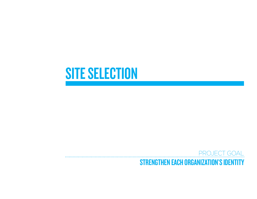# **SITE SELECTION**

## PROJECT GOAL STRENGTHEN EACH ORGANIZATION'S IDENTITY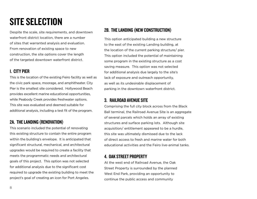# SITE SELECTION

Despite the scale, site requirements, and downtown waterfront district location, there are a number of sites that warranted analysis and evaluation. From renovation of existing space to new construction, the site options cover the length of the targeted downtown waterfront district.

#### 1. City Pier

This is the location of the existing Feiro facility as well as the civic park space, moorage, and amphitheater. City Pier is the smallest site considered. Hollywood Beach provides excellent marine educational opportunities, while Peabody Creek provides freshwater options. This site was evaluated and deemed suitable for additional analysis, including a test fit of the program.

#### 2a. The Landing (renovation)

This scenario included the potential of renovating this existing structure to contain the entire program within the building's envelope. It is anticipated that significant structural, mechanical, and architectural upgrades would be required to create a facility that meets the programmatic needs and architectural goals of this project. This option was not selected for additional analysis due to the significant cost required to upgrade the existing building to meet the project's goal of creating an icon for Port Angeles.

#### 2b. The Landing (new construction)

This option anticipated building a new structure to the east of the existing Landing building, at the location of the current parking structure/ pier. This option included the potential of maintaining some program in the existing structure as a cost saving measure. This option was not selected for additional analysis due largely to the site's lack of exposure and outreach opportunity, as well as its undesirable displacement of parking in the downtown waterfront district.

#### 3. Railroad Avenue Site

Comprising the full city block across from the Black Ball terminal, the Railroad Avenue Site is an aggregate of several parcels which holds an array of existing structures and surface parking lots. Although site acquisition/ entitlement appeared to be a hurdle, this site was ultimately dismissed due to the lack of direct access to fresh and marine water for both educational activities and the Feiro live-animal tanks.

#### 4. Oak Street Property

At the west end of Railroad Avenue, the Oak Street Property is surrounded by the planned West End Park, providing an opportunity to continue the public access and community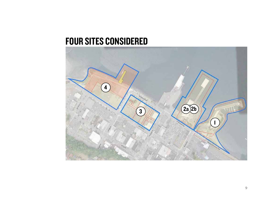# FOUR SITES CONSIDERED

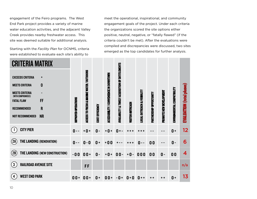engagement of the Feiro programs. The West End Park project provides a variety of marine water education activities, and the adjacent Valley Creek provides nearby freshwater access. This site was deemed suitable for additional analysis.

Starting with the *Facility Plan* for OCNMS, criteria were established to evaluate each site's ability to

meet the operational, inspirational, and community engagement goals of the project. Under each criteria the organizations scored the site options either positive, neutral, negative, or "fatally flawed" (if the criteria couldn't be met). After the evaluations were compiled and discrepancies were discussed, two sites emerged as the top candidates for further analysis.

| <b>CRITERIA MATRIX</b>                                        |                           |                                           |                 |                                         |                                                              |                  |                             |                         |                         |                             |                                  |
|---------------------------------------------------------------|---------------------------|-------------------------------------------|-----------------|-----------------------------------------|--------------------------------------------------------------|------------------|-----------------------------|-------------------------|-------------------------|-----------------------------|----------------------------------|
| <b>EXCEEDS CRITERIA</b><br>$\ddot{}$                          |                           | ACCESS TO FRESH & MARINE WATER / OUTDOORS |                 |                                         | <b>AVAILABILITY &amp; TIMELY ACQUISITION OF ENTITLEMENTS</b> |                  |                             |                         |                         |                             |                                  |
| $\boldsymbol{0}$<br><b>MEETS CRITERIA</b>                     |                           |                                           |                 |                                         |                                                              |                  |                             |                         |                         |                             |                                  |
| <b>MEETS CRITERIA</b><br>$\blacksquare$<br>(WITH COMPROMISES) |                           |                                           |                 |                                         |                                                              |                  |                             |                         |                         |                             |                                  |
| FF<br><b>FATAL FLAW</b>                                       |                           |                                           |                 |                                         |                                                              |                  |                             |                         |                         |                             |                                  |
| $\mathbf R$<br><b>RECOMMENDED</b>                             |                           |                                           |                 |                                         |                                                              |                  |                             |                         |                         |                             |                                  |
| <b>NR</b><br><b>NOT RECOMMENDED</b>                           | <b>MPROVED OPERATIONS</b> |                                           | COST EFFICIENCY | ACCESSIBILITY / CONVENIENCE IN DOWNTOWN |                                                              | VISITOR OUTREACH | LOCAL OUTREACH & VISIBILITY | PARTNERSHIP OPPORTUNITY | PROMOTE NEW DEVELOPMENT | ENVIRONMENTAL COMPATIBILITY | <b>EVALUATION (total pluses)</b> |
| <b>CITY PIER</b>                                              | $0 -$                     | $+0+$                                     | $\mathbf{0}$ -  | $+0+$                                   | $0 +$                                                        |                  |                             |                         |                         | $0 +$                       | 12                               |
| (2A)<br>THE LANDING (RENOVATION)                              | $0 -$                     | $0 - 0$                                   | $0 +$           | $+00$                                   |                                                              |                  | $0 - -$                     | 0 <sub>0</sub>          |                         | $\mathbf{0}$ -              | 6                                |
| (2B)<br>THE LANDING (NEW CONSTRUCTION)                        | $-00$                     | $00 +$                                    | $0 -$           | $+0$<br>$\ddot{}$                       | $00 -$                                                       | $+0-$            | 000                         | 0 <sub>0</sub>          | $\mathbf{0}$ -          | 0 <sub>0</sub>              | 4                                |
| $\left(3\right)$<br><b>RAILROAD AVENUE SITE</b>               |                           | <b>FF</b>                                 |                 |                                         |                                                              |                  |                             |                         |                         |                             | n/a                              |
| <b>WEST END PARK</b><br>$\overline{\mathbf{4}}$               | $00 +$                    | $00 +$                                    | $0 +$           | $00 +$                                  | $-0+$                                                        | $0 + 0$          | $\mathbf{0}$<br>$+ +$       | + +                     | $+ +$                   | $0 +$                       | 13                               |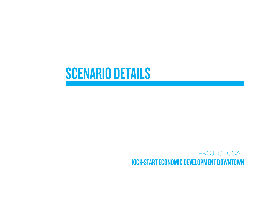# **SCENARIO DETAILS**

## PROJECT GOAL Kick-start economic development downtown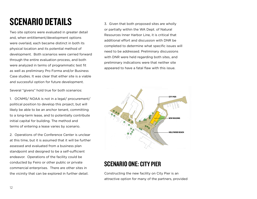# Scenario Details

Two site options were evaluated in greater detail and, when entitlement/development options were overlaid, each became distinct in both its physical location and its potential method of development. Both scenarios were carried forward through the entire evaluation process, and both were analyzed in terms of programmatic test fit as well as preliminary Pro Forma and/or Business Case studies. It was clear that either site is a viable and successful option for future development.

Several "givens" hold true for both scenarios:

1. OCNMS/ NOAA is not in a legal/ procurement/ political position to develop this project, but will likely be able to be an anchor tenant, committing to a long-term lease, and to potentially contribute initial capital for building. The method and terms of entering a lease varies by scenario.

2. Operations of the Conference Center is unclear at this time, but it is assumed that it will be further assessed and evaluated from a business plan standpoint and designed to be a self-sufficient endeavor. Operations of the facility could be conducted by Feiro or other public or private commercial enterprises. There are other sites in the vicinity that can be explored in further detail.

3. Given that both proposed sites are wholly or partially within the WA Dept. of Natural Resources Inner Harbor Line, it is critical that additional effort and discussion with DNR be completed to determine what specific issues will need to be addressed. Preliminary discussions with DNR were held regarding both sites, and preliminary indications were that neither site appeared to have a fatal flaw with this issue.



## Scenario One: City Pier

Constructing the new facility on City Pier is an attractive option for many of the partners, provided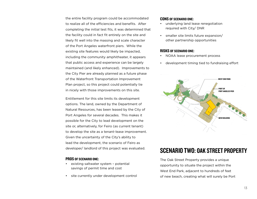the entire facility program could be accommodated to realize all of the efficiencies and benefits. After completing the initial test fits, it was determined that the facility could in fact fit entirely on the site and likely fit well into the massing and scale character of the Port Angeles waterfront piers. While the existing site features would likely be impacted, including the community amphitheater, it appears that public access and experience can be largely maintained (and likely enhanced). Improvements to the City Pier are already planned as a future phase of the Waterfront Transportation Improvement Plan project, so this project could potentially tie in nicely with those improvements on this site.

Entitlement for this site limits its development options. The land, owned by the Department of Natural Resources, has been leased by the City of Port Angeles for several decades. This makes it possible for the City to lead development on the site or, alternatively, for Feiro (as current tenant) to develop the site as a tenant-lease improvement. Given the uncertainty of the City's ability to lead the development, the scenario of Feiro as developer/ landlord of this project was evaluated.

#### Pros OF SCENARIO ONE:

- existing saltwater system potential savings of permit time and cost
- site currently under development control

#### Cons OF SCENARIO ONE:

- underlying land lease renegotiation required with City/ DNR
- smaller site limits future expansion/ other partnership opportunities

#### Risks OF SCENARIO ONE:

- NOAA lease procurement process
- development timing tied to fundraising effort



### Scenario Two: Oak Street Property

The Oak Street Property provides a unique opportunity to situate the project within the West End Park, adjacent to hundreds of feet of new beach, creating what will surely be Port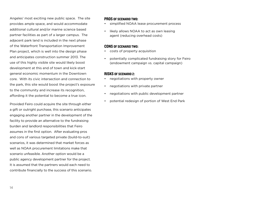Angeles' most exciting new public space. The site provides ample space, and would accommodate additional cultural and/or marine science based partner facilities as part of a larger campus. The adjacent park land is included in the next phase of the Waterfront Transportation Improvement Plan project, which is well into the design phase and anticipates construction summer 2013. The use of this highly visible site would likely boost development at this end of town and kick-start general economic momentum in the Downtown core. With its civic intersection and connection to the park, this site would boost the project's exposure to the community and increase its recognition, affording it the potential to become a true icon.

Provided Feiro could acquire the site through either a gift or outright purchase, this scenario anticipates engaging another partner in the development of the facility to provide an alternative to the fundraising burden and landlord responsibilities that Feiro assumes in the first option. After evaluating pros and cons of various targeted private (build-to-suit) scenarios, it was determined that market forces as well as NOAA procurement limitations make that scenario unfeasible. Another option would be a public agency development partner for the project. It is assumed that the partners would each need to contribute financially to the success of this scenario.

#### Pros of scenario two:

- simplified NOAA lease procurement process
- likely allows NOAA to act as own leasing agent (reducing overhead costs)

#### Cons of scenario two:

- costs of property acquisition
- potentially complicated fundraising story for Feiro (endowment campaign vs. capital campaign)

#### Risks of scenario 2:

- negotiations with property owner
- negotiations with private partner
- negotiations with public development partner
- potential redesign of portion of West End Park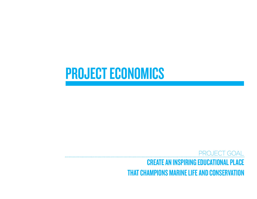# PROJECT ECONOMICS

PROJECT GOAL Create an inspiring educational place that champions marine life and conservation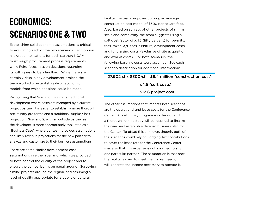# Economics: Scenarios One & Two

Establishing solid economic assumptions is critical to evaluating each of the two scenarios. Each option has great implications for each partner: NOAA must weigh procurement process requirements, while Feiro faces mission decisions regarding its willingness to be a landlord. While there are certainly risks in any development project, the team worked to establish realistic economic models from which decisions could be made.

Recognizing that Scenario 1 is a more traditional development where costs are managed by a current project partner, it is easier to establish a more thorough preliminary pro forma and a traditional surplus/ loss projection. Scenario 2, with an outside partner as the developer, is more appropriately evaluated as a "Business Case", where our team provides assumptions and likely revenue projections for the new partner to analyze and customize to their business assumptions.

There are some similar development cost assumptions in either scenario, which we provided to both control the quality of the project and to ensure the comparison is on equal ground. Surveying similar projects around the region, and assuming a level of quality appropriate for a public or cultural

facility, the team proposes utilizing an average construction cost model of \$300 per square foot. Also, based on surveys of other projects of similar scale and complexity, the team suggests using a soft-cost factor of X 1.5 (fifty percent) for permits, fees, taxes, A/E fees, furniture, development costs, and fundraising costs, (exclusive of site acquisition and exhibit costs). For both scenarios, the following baseline costs were assumed. See each scenario description for additional information:

### 27,902 sf  $\times$  \$300/sf = \$8.4 million (construction cost) x 1.5 (soft costs) \$12.6 project cost

The other assumptions that impacts both scenarios are the operational and lease costs for the Conference Center. A preliminary program was developed, but a thorough market study will be required to finalize the need and establish a detailed business plan for the Center. To offset this unknown, though, both of the scenarios could rely on Lodging Tax contributions to cover the lease rate for the Conference Center space so that this expense is not assigned to any one particular partner. The assumption is that once the facility is sized to meet the market needs, it will generate the income necessary to operate it.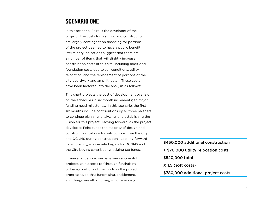### Scenario One

In this scenario, Feiro is the developer of the project. The costs for planning and construction are largely contingent on financing for portions of the project deemed to have a public benefit. Preliminary indications suggest that there are a number of items that will slightly increase construction costs at this site, including additional foundation costs due to soil conditions, utility relocation, and the replacement of portions of the city boardwalk and amphitheater. These costs have been factored into the analysis as follows:

This chart projects the cost of development overlaid on the schedule (in six month increments) to major funding need milestones. In this scenario, the first six months include contributions by all three partners to continue planning, analyzing, and establishing the vision for this project. Moving forward, as the project developer, Feiro funds the majority of design and construction costs with contributions from the City and OCNMS during construction. Looking forward to occupancy, a lease rate begins for OCNMS and the City begins contributing lodging tax funds.

In similar situations, we have seen successful projects gain access to (through fundraising or loans) portions of the funds as the project progresses, so that fundraising, entitlement, and design are all occurring simultaneously.

\$450,000 additional construction + \$70,000 utility relocation costs \$520,000 total X 1.5 (soft costs) \$780,000 additional project costs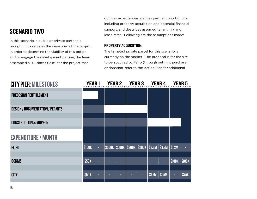## Scenario Two

In this scenario, a public or private partner is brought in to serve as the developer of the project. In order to determine the viability of this option and to engage the development partner, the team assembled a "Business Case" for the project that

outlines expectations, defines partner contributions including property acquisition and potential financial support, and describes assumed tenant mix and lease rates. Following are the assumptions made:

#### Property Acquisition:

The targeted private parcel for this scenario is currently on the market. The proposal is for the site to be acquired by Feiro (through outright purchase or donation, refer to the Action Plan for additional

| <b>CITY PIER: MILESTONES</b>            | YEAR 1        |    | <b>YEAR 2</b>               | <b>YEAR 3</b> |               | <b>YEAR4</b> |                    | YEAR 5       |
|-----------------------------------------|---------------|----|-----------------------------|---------------|---------------|--------------|--------------------|--------------|
| <b>PREDESIGN / ENTITLEMENT</b>          |               |    |                             |               |               |              |                    |              |
| <b>DESIGN / DOCUMENTATION / PERMITS</b> |               |    |                             |               |               |              |                    |              |
| <b>CONSTRUCTION &amp; MOVE-IN</b>       |               |    |                             |               |               |              |                    |              |
| <b>EXPENDITURE / MONTH</b>              |               |    |                             |               |               |              |                    |              |
| <b>FEIRO</b>                            | <b>\$100K</b> | ÷. | \$500K \$500K \$800K \$200K |               | \$3.3M \$3.3M |              | \$1.2M\$           |              |
| <b>OCNMS</b>                            | \$50K         | ٠  | ۳                           | ٥             |               | н            | <b>SIOBK SIOBK</b> |              |
| <b>CITY</b>                             | \$50K         |    |                             | ٠             | \$1.5M        | \$1.5M       | ▬                  | <b>\$75K</b> |